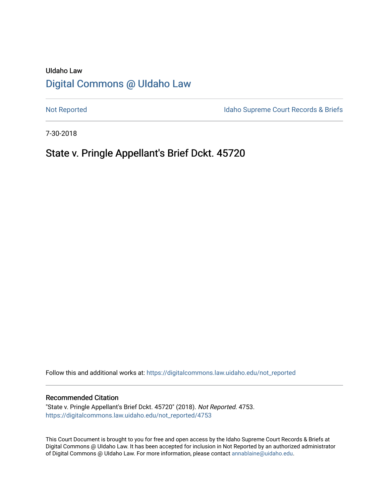# UIdaho Law [Digital Commons @ UIdaho Law](https://digitalcommons.law.uidaho.edu/)

[Not Reported](https://digitalcommons.law.uidaho.edu/not_reported) **Idaho Supreme Court Records & Briefs** 

7-30-2018

# State v. Pringle Appellant's Brief Dckt. 45720

Follow this and additional works at: [https://digitalcommons.law.uidaho.edu/not\\_reported](https://digitalcommons.law.uidaho.edu/not_reported?utm_source=digitalcommons.law.uidaho.edu%2Fnot_reported%2F4753&utm_medium=PDF&utm_campaign=PDFCoverPages) 

#### Recommended Citation

"State v. Pringle Appellant's Brief Dckt. 45720" (2018). Not Reported. 4753. [https://digitalcommons.law.uidaho.edu/not\\_reported/4753](https://digitalcommons.law.uidaho.edu/not_reported/4753?utm_source=digitalcommons.law.uidaho.edu%2Fnot_reported%2F4753&utm_medium=PDF&utm_campaign=PDFCoverPages)

This Court Document is brought to you for free and open access by the Idaho Supreme Court Records & Briefs at Digital Commons @ UIdaho Law. It has been accepted for inclusion in Not Reported by an authorized administrator of Digital Commons @ UIdaho Law. For more information, please contact [annablaine@uidaho.edu](mailto:annablaine@uidaho.edu).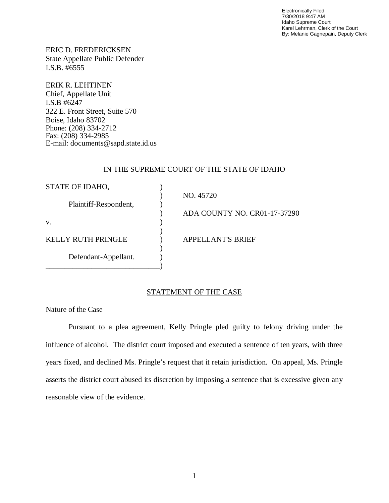Electronically Filed 7/30/2018 9:47 AM Idaho Supreme Court Karel Lehrman, Clerk of the Court By: Melanie Gagnepain, Deputy Clerk

ERIC D. FREDERICKSEN State Appellate Public Defender I.S.B. #6555

ERIK R. LEHTINEN Chief, Appellate Unit I.S.B #6247 322 E. Front Street, Suite 570 Boise, Idaho 83702 Phone: (208) 334-2712 Fax: (208) 334-2985 E-mail: documents@sapd.state.id.us

### IN THE SUPREME COURT OF THE STATE OF IDAHO

| STATE OF IDAHO,           |                              |
|---------------------------|------------------------------|
|                           | NO. 45720                    |
| Plaintiff-Respondent,     |                              |
|                           | ADA COUNTY NO. CR01-17-37290 |
| V.                        |                              |
|                           |                              |
| <b>KELLY RUTH PRINGLE</b> | <b>APPELLANT'S BRIEF</b>     |
|                           |                              |
| Defendant-Appellant.      |                              |
|                           |                              |

## STATEMENT OF THE CASE

### Nature of the Case

Pursuant to a plea agreement, Kelly Pringle pled guilty to felony driving under the influence of alcohol. The district court imposed and executed a sentence of ten years, with three years fixed, and declined Ms. Pringle's request that it retain jurisdiction. On appeal, Ms. Pringle asserts the district court abused its discretion by imposing a sentence that is excessive given any reasonable view of the evidence.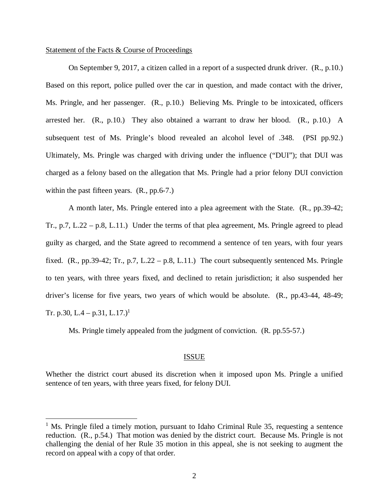#### Statement of the Facts & Course of Proceedings

On September 9, 2017, a citizen called in a report of a suspected drunk driver. (R., p.10.) Based on this report, police pulled over the car in question, and made contact with the driver, Ms. Pringle, and her passenger. (R., p.10.) Believing Ms. Pringle to be intoxicated, officers arrested her. (R., p.10.) They also obtained a warrant to draw her blood. (R., p.10.) A subsequent test of Ms. Pringle's blood revealed an alcohol level of .348. (PSI pp.92.) Ultimately, Ms. Pringle was charged with driving under the influence ("DUI"); that DUI was charged as a felony based on the allegation that Ms. Pringle had a prior felony DUI conviction within the past fifteen years.  $(R., pp.6-7.)$ 

A month later, Ms. Pringle entered into a plea agreement with the State. (R., pp.39-42; Tr., p.7, L.22 – p.8, L.11.) Under the terms of that plea agreement, Ms. Pringle agreed to plead guilty as charged, and the State agreed to recommend a sentence of ten years, with four years fixed. (R., pp.39-42; Tr., p.7, L.22 – p.8, L.11.) The court subsequently sentenced Ms. Pringle to ten years, with three years fixed, and declined to retain jurisdiction; it also suspended her driver's license for five years, two years of which would be absolute. (R., pp.43-44, 48-49; Tr. p.30, L.4 – p.3[1](#page-2-0), L.17.)<sup>1</sup>

Ms. Pringle timely appealed from the judgment of conviction. (R. pp.55-57.)

#### ISSUE

Whether the district court abused its discretion when it imposed upon Ms. Pringle a unified sentence of ten years, with three years fixed, for felony DUI.

<span id="page-2-0"></span><sup>&</sup>lt;sup>1</sup> Ms. Pringle filed a timely motion, pursuant to Idaho Criminal Rule 35, requesting a sentence reduction. (R., p.54.) That motion was denied by the district court. Because Ms. Pringle is not challenging the denial of her Rule 35 motion in this appeal, she is not seeking to augment the record on appeal with a copy of that order.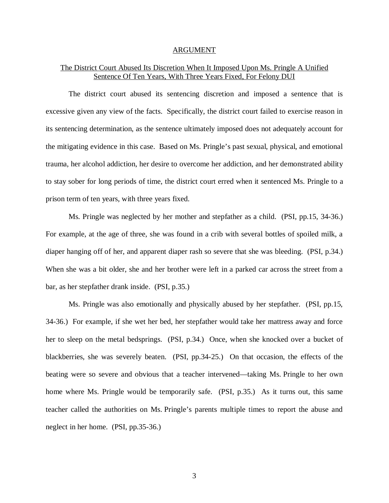#### ARGUMENT

# The District Court Abused Its Discretion When It Imposed Upon Ms. Pringle A Unified Sentence Of Ten Years, With Three Years Fixed, For Felony DUI

The district court abused its sentencing discretion and imposed a sentence that is excessive given any view of the facts. Specifically, the district court failed to exercise reason in its sentencing determination, as the sentence ultimately imposed does not adequately account for the mitigating evidence in this case. Based on Ms. Pringle's past sexual, physical, and emotional trauma, her alcohol addiction, her desire to overcome her addiction, and her demonstrated ability to stay sober for long periods of time, the district court erred when it sentenced Ms. Pringle to a prison term of ten years, with three years fixed.

Ms. Pringle was neglected by her mother and stepfather as a child. (PSI, pp.15, 34-36.) For example, at the age of three, she was found in a crib with several bottles of spoiled milk, a diaper hanging off of her, and apparent diaper rash so severe that she was bleeding. (PSI, p.34.) When she was a bit older, she and her brother were left in a parked car across the street from a bar, as her stepfather drank inside. (PSI, p.35.)

Ms. Pringle was also emotionally and physically abused by her stepfather. (PSI, pp.15, 34-36.) For example, if she wet her bed, her stepfather would take her mattress away and force her to sleep on the metal bedsprings. (PSI, p.34.) Once, when she knocked over a bucket of blackberries, she was severely beaten. (PSI, pp.34-25.) On that occasion, the effects of the beating were so severe and obvious that a teacher intervened—taking Ms. Pringle to her own home where Ms. Pringle would be temporarily safe. (PSI, p.35.) As it turns out, this same teacher called the authorities on Ms. Pringle's parents multiple times to report the abuse and neglect in her home. (PSI, pp.35-36.)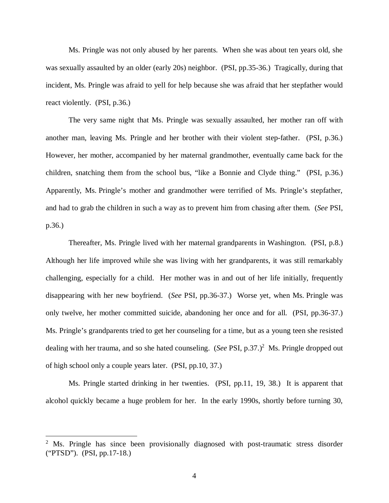Ms. Pringle was not only abused by her parents. When she was about ten years old, she was sexually assaulted by an older (early 20s) neighbor. (PSI, pp.35-36.) Tragically, during that incident, Ms. Pringle was afraid to yell for help because she was afraid that her stepfather would react violently. (PSI, p.36.)

The very same night that Ms. Pringle was sexually assaulted, her mother ran off with another man, leaving Ms. Pringle and her brother with their violent step-father. (PSI, p.36.) However, her mother, accompanied by her maternal grandmother, eventually came back for the children, snatching them from the school bus, "like a Bonnie and Clyde thing." (PSI, p.36.) Apparently, Ms. Pringle's mother and grandmother were terrified of Ms. Pringle's stepfather, and had to grab the children in such a way as to prevent him from chasing after them. (*See* PSI, p.36.)

Thereafter, Ms. Pringle lived with her maternal grandparents in Washington. (PSI, p.8.) Although her life improved while she was living with her grandparents, it was still remarkably challenging, especially for a child. Her mother was in and out of her life initially, frequently disappearing with her new boyfriend. (*See* PSI, pp.36-37.) Worse yet, when Ms. Pringle was only twelve, her mother committed suicide, abandoning her once and for all. (PSI, pp.36-37.) Ms. Pringle's grandparents tried to get her counseling for a time, but as a young teen she resisted dealing with her trauma, and so she hated counseling. (*See* PSI, p.37.)<sup>[2](#page-4-0)</sup> Ms. Pringle dropped out of high school only a couple years later. (PSI, pp.10, 37.)

Ms. Pringle started drinking in her twenties. (PSI, pp.11, 19, 38.) It is apparent that alcohol quickly became a huge problem for her. In the early 1990s, shortly before turning 30,

<span id="page-4-0"></span><sup>&</sup>lt;sup>2</sup> Ms. Pringle has since been provisionally diagnosed with post-traumatic stress disorder ("PTSD"). (PSI, pp.17-18.)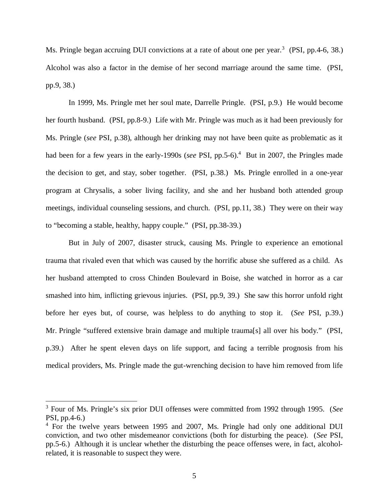Ms. Pringle began accruing DUI convictions at a rate of about one per year.<sup>[3](#page-5-0)</sup> (PSI, pp.4-6, 38.) Alcohol was also a factor in the demise of her second marriage around the same time. (PSI, pp.9, 38.)

In 1999, Ms. Pringle met her soul mate, Darrelle Pringle. (PSI, p.9.) He would become her fourth husband. (PSI, pp.8-9.) Life with Mr. Pringle was much as it had been previously for Ms. Pringle (*see* PSI, p.38), although her drinking may not have been quite as problematic as it had been for a few years in the early-1990s (*see* PSI, pp.5-6).<sup>[4](#page-5-1)</sup> But in 2007, the Pringles made the decision to get, and stay, sober together. (PSI, p.38.) Ms. Pringle enrolled in a one-year program at Chrysalis, a sober living facility, and she and her husband both attended group meetings, individual counseling sessions, and church. (PSI, pp.11, 38.) They were on their way to "becoming a stable, healthy, happy couple." (PSI, pp.38-39.)

But in July of 2007, disaster struck, causing Ms. Pringle to experience an emotional trauma that rivaled even that which was caused by the horrific abuse she suffered as a child. As her husband attempted to cross Chinden Boulevard in Boise, she watched in horror as a car smashed into him, inflicting grievous injuries. (PSI, pp.9, 39.) She saw this horror unfold right before her eyes but, of course, was helpless to do anything to stop it. (*See* PSI, p.39.) Mr. Pringle "suffered extensive brain damage and multiple trauma[s] all over his body." (PSI, p.39.) After he spent eleven days on life support, and facing a terrible prognosis from his medical providers, Ms. Pringle made the gut-wrenching decision to have him removed from life

<span id="page-5-0"></span><sup>3</sup> Four of Ms. Pringle's six prior DUI offenses were committed from 1992 through 1995. (*See* PSI, pp.4-6.)

<span id="page-5-1"></span><sup>&</sup>lt;sup>4</sup> For the twelve years between 1995 and 2007, Ms. Pringle had only one additional DUI conviction, and two other misdemeanor convictions (both for disturbing the peace). (*See* PSI, pp.5-6.) Although it is unclear whether the disturbing the peace offenses were, in fact, alcoholrelated, it is reasonable to suspect they were.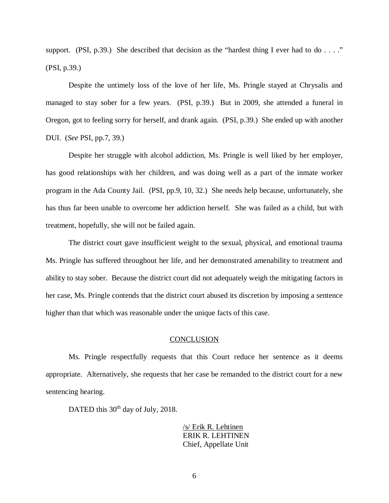support. (PSI, p.39.) She described that decision as the "hardest thing I ever had to do  $\dots$ ." (PSI, p.39.)

Despite the untimely loss of the love of her life, Ms. Pringle stayed at Chrysalis and managed to stay sober for a few years. (PSI, p.39.) But in 2009, she attended a funeral in Oregon, got to feeling sorry for herself, and drank again. (PSI, p.39.) She ended up with another DUI. (*See* PSI, pp.7, 39.)

Despite her struggle with alcohol addiction, Ms. Pringle is well liked by her employer, has good relationships with her children, and was doing well as a part of the inmate worker program in the Ada County Jail. (PSI, pp.9, 10, 32.) She needs help because, unfortunately, she has thus far been unable to overcome her addiction herself. She was failed as a child, but with treatment, hopefully, she will not be failed again.

The district court gave insufficient weight to the sexual, physical, and emotional trauma Ms. Pringle has suffered throughout her life, and her demonstrated amenability to treatment and ability to stay sober. Because the district court did not adequately weigh the mitigating factors in her case, Ms. Pringle contends that the district court abused its discretion by imposing a sentence higher than that which was reasonable under the unique facts of this case.

#### **CONCLUSION**

Ms. Pringle respectfully requests that this Court reduce her sentence as it deems appropriate. Alternatively, she requests that her case be remanded to the district court for a new sentencing hearing.

DATED this 30<sup>th</sup> day of July, 2018.

/s/ Erik R. Lehtinen ERIK R. LEHTINEN Chief, Appellate Unit